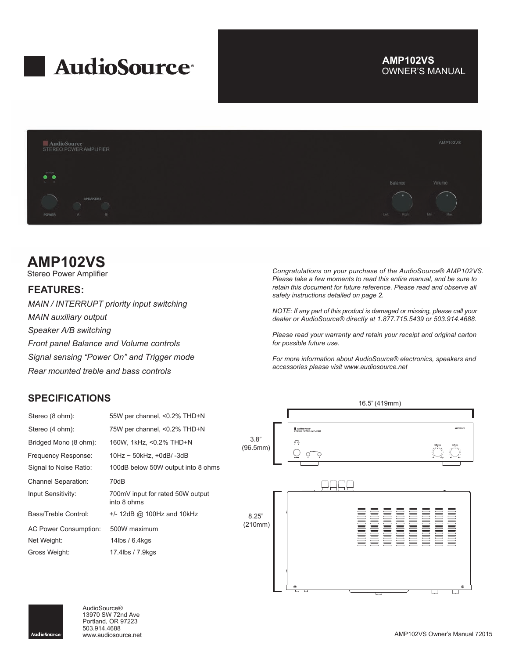

## OWNER'S MANUAL **AMP102VS**



## **AMP102VS**

Stereo Power Amplifier

## **FEATURES:**

*MAIN / INTERRUPT priority input switching MAIN auxiliary output Speaker A/B switching Front panel Balance and Volume controls Signal sensing "Power On" and Trigger mode Rear mounted treble and bass controls*

## **SPECIFICATIONS**

| Stereo (8 ohm):            | 55W per channel, <0.2% THD+N                    |
|----------------------------|-------------------------------------------------|
| Stereo (4 ohm):            | 75W per channel, <0.2% THD+N                    |
| Bridged Mono (8 ohm):      | 160W, 1kHz, <0.2% THD+N                         |
| Frequency Response:        | $10$ Hz ~ 50kHz, +0dB/-3dB                      |
| Signal to Noise Ratio:     | 100dB below 50W output into 8 ohms              |
| <b>Channel Separation:</b> | 70dB                                            |
| Input Sensitivity:         | 700mV input for rated 50W output<br>into 8 ohms |
| Bass/Treble Control:       | $+/- 12dB$ @ 100Hz and 10kHz                    |
| AC Power Consumption:      | 500W maximum                                    |
| Net Weight:                | 14lbs / $6.4$ kgs                               |
| Gross Weight:              | 17.4lbs / 7.9kgs                                |

*Congratulations on your purchase of the AudioSource® AMP102VS. Please take a few moments to read this entire manual, and be sure to retain this document for future reference. Please read and observe all safety instructions detailed on page 2.*

*NOTE: If any part of this product is damaged or missing, please call your dealer or AudioSource® directly at 1.877.715.5439 or 503.914.4688.*

*Please read your warranty and retain your receipt and original carton for possible future use.*

*For more information about AudioSource® electronics, speakers and accessories please visit www.audiosource.net*





AudioSource® 13970 SW 72nd Ave Portland, OR 97223 503.914.4688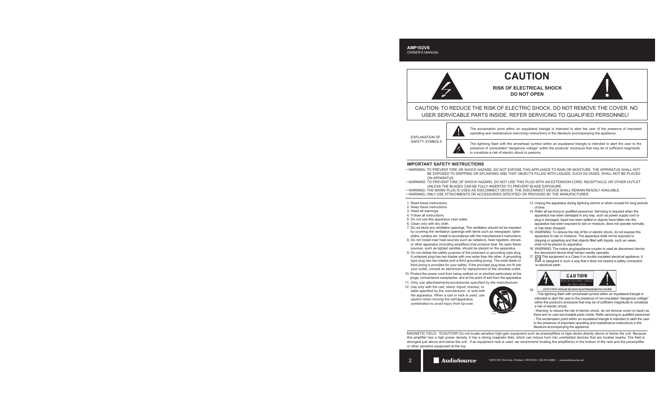# **CAUTION**

**RISK OF ELECTRICAL SHOCK DO NOT OPEN**



CAUTION: TO REDUCE THE RISK OF ELECTRIC SHOCK, DO NOT REMOVE THE COVER. NO USER SERVICABLE PARTS INSIDE. REFER SERVICING TO QUALIFIED PERSONNEL!

EXPLANATION OF SAFETY SYMBOLS



The exclamation point within an equilateral triangle is intended to alert the user of the presence of important operating and maintenance (servicing) instructions in the literature accompanying the appliance.

The lightning flash with the arrowhead symbol within an equilateral triangle is intended to alert the user to the presence of uninsulated "dangerous voltage" within the products' enclosure that may be of sufficient magnitude to constitute a risk of electric shock to persons.

### **IMPORTANT SAFETY INSTRUCTIONS**

- WARNING: TO PREVENT FIRE OR SHOCK HAZARD, DO NOT EXPOSE THIS APPLIANCE TO RAIN OR MOISTURE. THE APPARATUS SHALL NOT BE EXPOSED TO DRIPPING OR SPLASHING AND THAT OBJECTS FILLED WITH LIQUIDS, SUCH AS VASES, SHALL NOT BE PLACED ON APPARATUS.
- WARNING: TO PREVENT FIRE OF SHOCK HAZARD, DO NOT USE THIS PLUG WITH AN EXTENSION CORD, RECEPTACLE OR OTHER OUTLET UNLESS THE BLADES CAN BE FULLY INSERTED TO PREVENT BLADE EXPOSURE.
- WARNING: THE MAINS PLUG IS USED AS DISCONNECT DEVICE. THE DISCONNECT DEVICE SHALL REMAIN READILY AVAILABLE.
- WARNING: ONLY USE ATTACHMENTS OR ACCESSORIES SPECIFIED OR PROVIDED BY THE MANUFACTURER.
- 1. Read these instructions.
- 2. Keep these instructions.
- 3. Heed all warnings.
- 4. Follow all instructions.
- 5. Do not use this apparatus near water.
- 6. Clean only with dry cloth.
- 7. Do not block any ventilation openings. The ventilation should not be impeded by covering the ventilation openings with items such as newspaper, table cloths, curtains etc. Install in accordance with the manufacturer's instructions.
- 8. Do not install near heat sources such as radiators, heat registers, stoves, or other apparatus (including amplifiers) that produce heat. No open flame sources, such as lighted candles, should be placed on the apparatus.
- 9. Do not defeat the safety purpose of the polarized or grounding type plug. A polarized plug has two blades with one wider than the other. A grounding type plug has two blades and a third grounding prong. The wide blade or third prong is provided for your safety. If the provided plug does not fit into your outlet, consult an electrician for replacement of the obsolete outlet.
- 10. Protect the power cord from being walked on or pinched particularly at the plugs, convenience receptacles, and at the point of exit from the apparatus.
- 11. Only use attacheements/accessories specified by the manufacturer.
- 12. Use only with the cart, stand, tripod, bracket, or table specified by the manufacturer, or sold with the apparatus. When a cart or rack is used, use caution when moving the cart/apparatus combination to avoid injury from tip-over.



- 13. Unplug the apparatus during lightning storms or when unused for long periods of time.
- 14. Refer all servicing to qualified personnel. Servicing is required when the apparatus has been damaged in any way, such as power supply cord or plug is damaged, liquid has been spilled or objects have fallen into the apparatus has been exposed to rain or moisture, does not operate normally, or has been dropped.
- 15. WARNING: To reduce the risk of fire or electric shock, do not expose this apparatus to rain or moisture. The apparatus shall not be exposed to dripping or splashing and that objects filled with liquids, such as vases, shall not be placed on apparatus.
- 16. WARNING: The mains plug/appliance coupler is used as disconnect device, the disconnect device shall remain readily operable.
- 17. This equipment is a Class II or double insulated electrical appliance. It is designed in such a way that it does not require a safety connection to electrical earth.



ATTENTION: RISQUE DE CHOC ELECTRIQUE-NE PAS OUVRIR 18.

 - This lightning flash with arrowhead symbol within an equilateral triangle is intended to alert the user to the presence of non-insulated "dangerous voltage" within the product's enclosure that may be of sufficient magnitude to constitute a risk of electric shock.

 - Warning: to reduce the risk of electric shock, do not remove cover (or back) as there are no user-serviceable parts inside. Refer servicing to qualified personnel. - The exclamation point within an equilateral triangle is intended to alert the user

 to the presence of important operating and maintenance instructions in the literature accompanying the appliance.

MAGNETIC FIELD: !!CAUTION!! Do not locate sensitive high-gain equipment such as preamplifiers or tape decks directly above or below the unit. Because this amplifier has a high power density, it has a strong magnetic field, which can induce hum into unshielded devices that are located nearby. The field is strongest just above and below the unit. If an equipment rack is used, we recommend locating the amplifier(s) in the bottom of the rack and the preamplifier or other sensitive equipment at the top.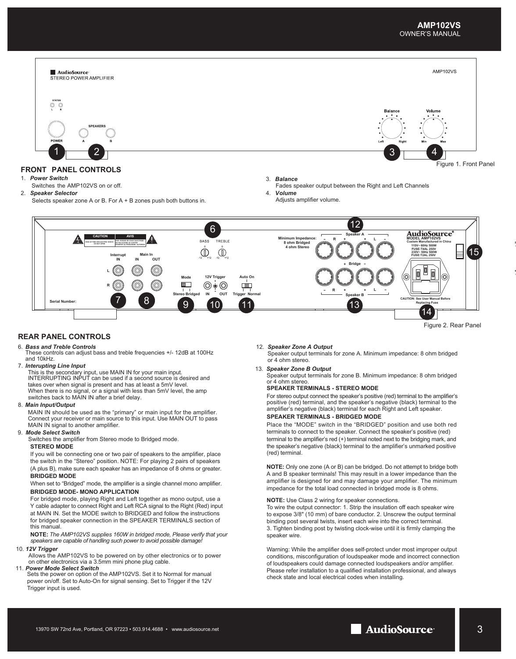

Figure 2. Rear Panel

#### **REAR PANEL CONTROLS**

#### 6. *Bass and Treble Controls*

These controls can adjust bass and treble frequencies +/- 12dB at 100Hz and 10kHz.

#### 7. *Interupting Line Input*

This is the secondary input, use MAIN IN for your main input. INTERRUPTING INPUT can be used if a second source is desired and takes over when signal is present and has at least a 5mV level. When there is no signal, or a signal with less than 5mV level, the amp switches back to MAIN IN after a brief delay.

#### 8.  *Main Input/Output*

MAIN IN should be used as the "primary" or main input for the amplifier. Connect your receiver or main source to this input. Use MAIN OUT to pass MAIN IN signal to another amplifier.

#### 9. *Mode Select Switch*

Switches the amplifier from Stereo mode to Bridged mode. **STEREO MODE**

If you will be connecting one or two pair of speakers to the amplifier, place the switch in the "Stereo" position. NOTE: For playing 2 pairs of speakers (A plus B), make sure each speaker has an impedance of 8 ohms or greater. **BRIDGED MODE**

#### When set to "Bridged" mode, the amplifier is a single channel mono amplifier. **BRIDGED MODE- MONO APPLICATION**

For bridged mode, playing Right and Left together as mono output, use a Y cable adapter to connect Right and Left RCA signal to the Right (Red) input at MAIN IN. Set the MODE switch to BRIDGED and follow the instructions for bridged speaker connection in the SPEAKER TERMINALS section of this manual.

**NOTE:** *The AMP102VS supplies 160W in bridged mode, Please verify that your speakers are capable of handling such power to avoid possible damage!*

#### 10. *12V Trigger*

Allows the AMP102VS to be powered on by other electronics or to power on other electronics via a 3.5mm mini phone plug cable.

11. *Power Mode Select Switch* Sets the power on option of the AMP102VS. Set it to Normal for manual power on/off. Set to Auto-On for signal sensing. Set to Trigger if the 12V Trigger input is used.

#### 12. *Speaker Zone A Output*

Speaker output terminals for zone A. Minimum impedance: 8 ohm bridged or 4 ohm stereo.

13. *Speaker Zone B Output*

Speaker output terminals for zone B. Minimum impedance: 8 ohm bridged or 4 ohm stereo.

#### **SPEAKER TERMINALS - STEREO MODE**

For stereo output connect the speaker's positive (red) terminal to the amplifier's positive (red) terminal, and the speaker's negative (black) terminal to the amplifier's negative (black) terminal for each Right and Left speaker.

#### **SPEAKER TERMINALS - BRIDGED MODE**

Place the "MODE" switch in the "BRIDGED" position and use both red terminals to connect to the speaker. Connect the speaker's positive (red) terminal to the amplifier's red (+) terminal noted next to the bridging mark, and the speaker's negative (black) terminal to the amplifier's unmarked positive (red) terminal.

**NOTE:** Only one zone (A or B) can be bridged. Do not attempt to bridge both A and B speaker terminals! This may result in a lower impedance than the amplifier is designed for and may damage your amplifier. The minimum impedance for the total load connected in bridged mode is 8 ohms.

#### **NOTE:** Use Class 2 wiring for speaker connections.

To wire the output connector: 1. Strip the insulation off each speaker wire to expose 3/8" (10 mm) of bare conductor. 2. Unscrew the output terminal binding post several twists, insert each wire into the correct terminal. 3. Tighten binding post by twisting clock-wise until it is firmly clamping the speaker wire.

Warning: While the amplifier does self-protect under most improper output conditions, misconfiguration of loudspeaker mode and incorrect connection of loudspeakers could damage connected loudspeakers and/or amplifier. Please refer installation to a qualified installation professional, and always check state and local electrical codes when installing.